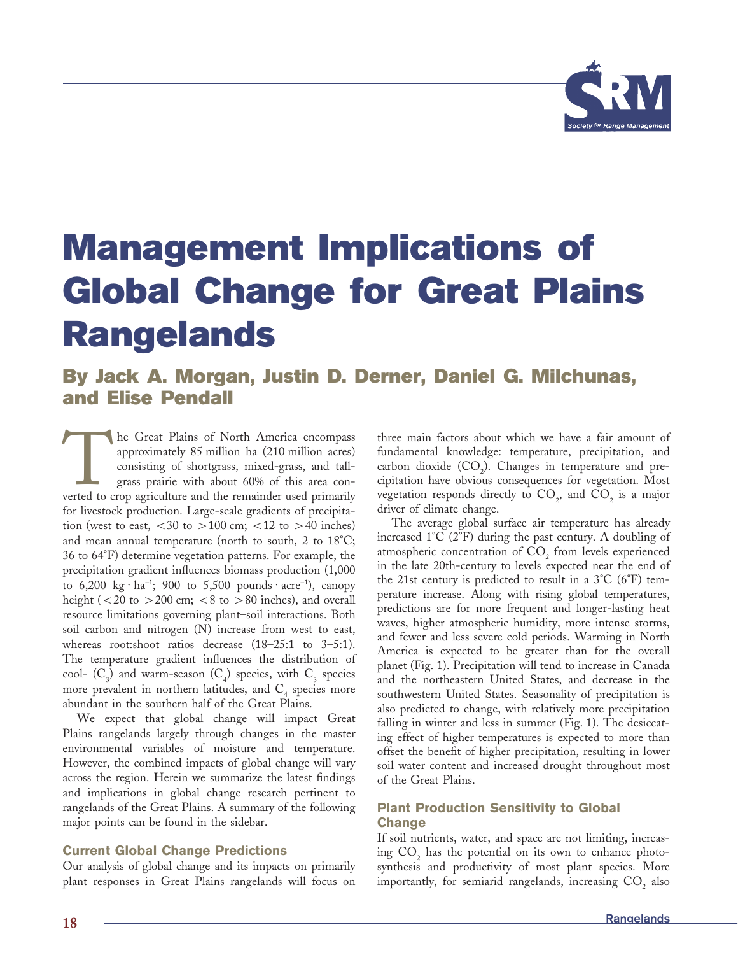

# **Management Implications of Global Change for Great Plains Rangelands**

# **By Jack A. Morgan, Justin D. Derner, Daniel G. Milchunas, and Elise Pendall**

The Great Plains of North America encompass<br>
approximately 85 million ha (210 million acres)<br>
consisting of shortgrass, mixed-grass, and tall-<br>
grass prairie with about 60% of this area con-<br>
verted to crop agriculture and approximately 85 million ha (210 million acres) consisting of shortgrass, mixed-grass, and tallgrass prairie with about 60% of this area confor livestock production. Large-scale gradients of precipitation (west to east,  $<$  30 to  $>$  100 cm;  $<$  12 to  $>$  40 inches) and mean annual temperature (north to south, 2 to 18°C; 36 to 64°F) determine vegetation patterns. For example, the precipitation gradient influences biomass production (1,000 to 6,200 kg · ha<sup>−</sup><sup>1</sup> ; 900 to 5,500 pounds · acre<sup>−</sup><sup>1</sup> ), canopy height ( $\langle 20 \text{ to } > 200 \text{ cm}$ ;  $\langle 8 \text{ to } > 80 \text{ inches} \rangle$ , and overall resource limitations governing plant–soil interactions. Both soil carbon and nitrogen (N) increase from west to east, whereas root:shoot ratios decrease (18–25:1 to 3–5:1). The temperature gradient influences the distribution of cool-  $(C_3)$  and warm-season  $(C_4)$  species, with  $C_3$  species more prevalent in northern latitudes, and  $C_4$  species more abundant in the southern half of the Great Plains.

We expect that global change will impact Great Plains rangelands largely through changes in the master environmental variables of moisture and temperature. However, the combined impacts of global change will vary across the region. Herein we summarize the latest findings and implications in global change research pertinent to rangelands of the Great Plains. A summary of the following major points can be found in the sidebar.

# **Current Global Change Predictions**

Our analysis of global change and its impacts on primarily plant responses in Great Plains rangelands will focus on

three main factors about which we have a fair amount of fundamental knowledge: temperature, precipitation, and carbon dioxide  $(CO_2)$ . Changes in temperature and precipitation have obvious consequences for vegetation. Most vegetation responds directly to  $CO_2$ , and  $CO_2$  is a major driver of climate change.

The average global surface air temperature has already increased 1°C (2°F) during the past century. A doubling of atmospheric concentration of  $CO<sub>2</sub>$  from levels experienced in the late 20th-century to levels expected near the end of the 21st century is predicted to result in a 3°C (6°F) temperature increase. Along with rising global temperatures, predictions are for more frequent and longer-lasting heat waves, higher atmospheric humidity, more intense storms, and fewer and less severe cold periods. Warming in North America is expected to be greater than for the overall planet (Fig. 1). Precipitation will tend to increase in Canada and the northeastern United States, and decrease in the southwestern United States. Seasonality of precipitation is also predicted to change, with relatively more precipitation falling in winter and less in summer (Fig. 1). The desiccating effect of higher temperatures is expected to more than offset the benefit of higher precipitation, resulting in lower soil water content and increased drought throughout most of the Great Plains.

# **Plant Production Sensitivity to Global Change**

If soil nutrients, water, and space are not limiting, increasing  $CO_2$  has the potential on its own to enhance photosynthesis and productivity of most plant species. More importantly, for semiarid rangelands, increasing  $\mathrm{CO}_2^{\phantom{\dag}}$  also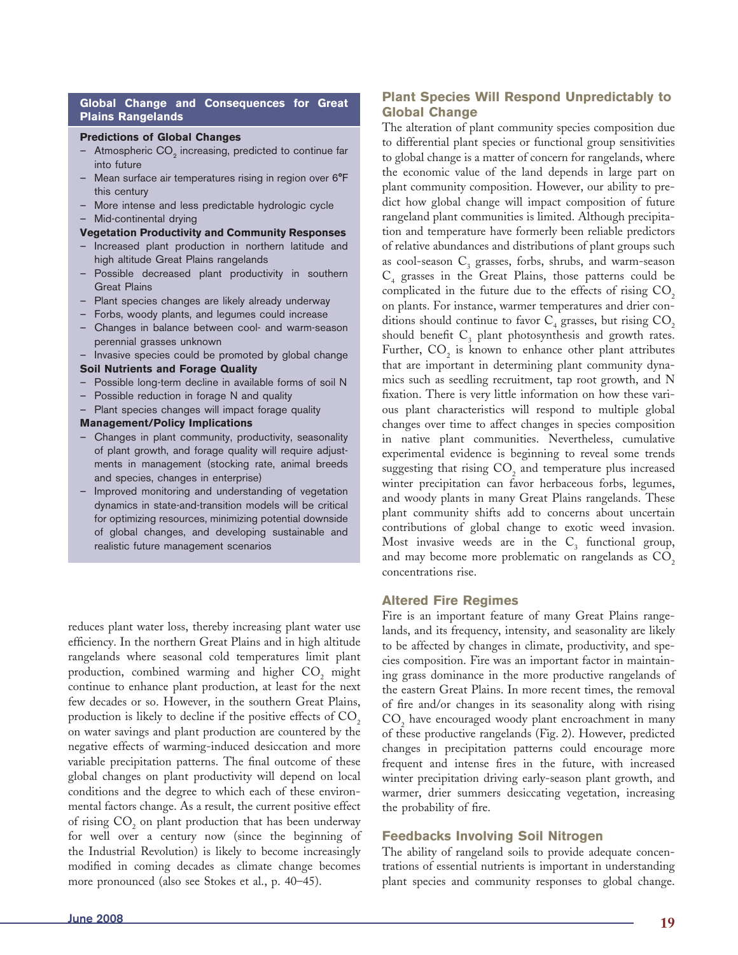#### **Global Change and Consequences for Great Plains Rangelands**

#### **Predictions of Global Changes**

- Atmospheric CO<sub>2</sub> increasing, predicted to continue far into future
- Mean surface air temperatures rising in region over 6°F this century
- More intense and less predictable hydrologic cycle – Mid-continental drying
- **Vegetation Productivity and Community Responses**
- Increased plant production in northern latitude and high altitude Great Plains rangelands
- Possible decreased plant productivity in southern Great Plains
- Plant species changes are likely already underway
- Forbs, woody plants, and legumes could increase
- Changes in balance between cool- and warm-season perennial grasses unknown
- Invasive species could be promoted by global change **Soil Nutrients and Forage Quality**
- Possible long-term decline in available forms of soil N
- Possible reduction in forage N and quality
- Plant species changes will impact forage quality
- **Management/Policy Implications**
- Changes in plant community, productivity, seasonality of plant growth, and forage quality will require adjustments in management (stocking rate, animal breeds and species, changes in enterprise)
- Improved monitoring and understanding of vegetation dynamics in state-and-transition models will be critical for optimizing resources, minimizing potential downside of global changes, and developing sustainable and realistic future management scenarios

reduces plant water loss, thereby increasing plant water use efficiency. In the northern Great Plains and in high altitude rangelands where seasonal cold temperatures limit plant production, combined warming and higher  $CO<sub>2</sub>$  might continue to enhance plant production, at least for the next few decades or so. However, in the southern Great Plains, production is likely to decline if the positive effects of  $CO<sub>2</sub>$ on water savings and plant production are countered by the negative effects of warming-induced desiccation and more variable precipitation patterns. The final outcome of these global changes on plant productivity will depend on local conditions and the degree to which each of these environmental factors change. As a result, the current positive effect of rising  $CO_2$  on plant production that has been underway for well over a century now (since the beginning of the Industrial Revolution) is likely to become increasingly modified in coming decades as climate change becomes more pronounced (also see Stokes et al., p. 40–45).

The alteration of plant community species composition due to differential plant species or functional group sensitivities to global change is a matter of concern for rangelands, where the economic value of the land depends in large part on plant community composition. However, our ability to predict how global change will impact composition of future rangeland plant communities is limited. Although precipitation and temperature have formerly been reliable predictors of relative abundances and distributions of plant groups such as cool-season  $C_3$  grasses, forbs, shrubs, and warm-season  $C_4$  grasses in the Great Plains, those patterns could be complicated in the future due to the effects of rising CO<sub>2</sub> on plants. For instance, warmer temperatures and drier conditions should continue to favor  $C_4$  grasses, but rising  $\mathrm{CO}_2$ should benefit  $C_3$  plant photosynthesis and growth rates. Further,  $CO_2$  is known to enhance other plant attributes that are important in determining plant community dynamics such as seedling recruitment, tap root growth, and N fixation. There is very little information on how these various plant characteristics will respond to multiple global changes over time to affect changes in species composition in native plant communities. Nevertheless, cumulative experimental evidence is beginning to reveal some trends suggesting that rising  $CO_2$  and temperature plus increased winter precipitation can favor herbaceous forbs, legumes, and woody plants in many Great Plains rangelands. These plant community shifts add to concerns about uncertain contributions of global change to exotic weed invasion. Most invasive weeds are in the  $C_3$  functional group, and may become more problematic on rangelands as  $CO<sub>2</sub>$ concentrations rise.

#### **Altered Fire Regimes**

Fire is an important feature of many Great Plains rangelands, and its frequency, intensity, and seasonality are likely to be affected by changes in climate, productivity, and species composition. Fire was an important factor in maintaining grass dominance in the more productive rangelands of the eastern Great Plains. In more recent times, the removal of fire and/or changes in its seasonality along with rising  $\mathrm{CO}_2$  have encouraged woody plant encroachment in many of these productive rangelands (Fig. 2). However, predicted changes in precipitation patterns could encourage more frequent and intense fires in the future, with increased winter precipitation driving early-season plant growth, and warmer, drier summers desiccating vegetation, increasing the probability of fire.

## **Feedbacks Involving Soil Nitrogen**

The ability of rangeland soils to provide adequate concentrations of essential nutrients is important in understanding plant species and community responses to global change.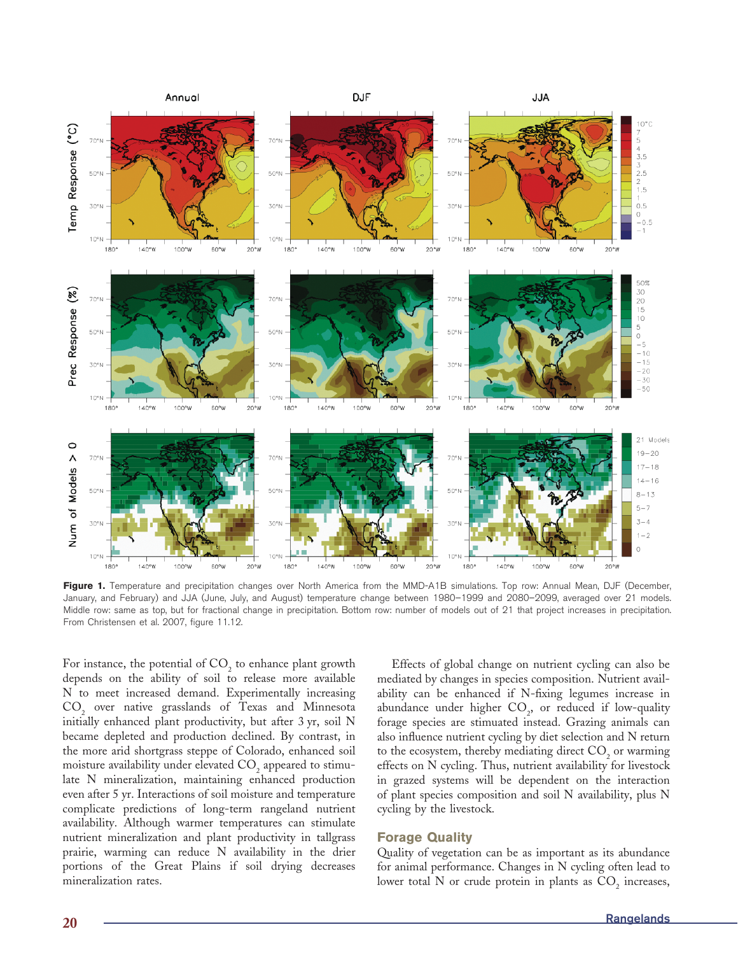

Figure 1. Temperature and precipitation changes over North America from the MMD-A1B simulations. Top row: Annual Mean, DJF (December, January, and February) and JJA (June, July, and August) temperature change between 1980–1999 and 2080–2099, averaged over 21 models. Middle row: same as top, but for fractional change in precipitation. Bottom row: number of models out of 21 that project increases in precipitation. From Christensen et al. 2007, figure 11.12.

For instance, the potential of  $CO<sub>2</sub>$  to enhance plant growth depends on the ability of soil to release more available N to meet increased demand. Experimentally increasing CO2 over native grasslands of Texas and Minnesota initially enhanced plant productivity, but after 3 yr, soil N became depleted and production declined. By contrast, in the more arid shortgrass steppe of Colorado, enhanced soil moisture availability under elevated  $\mathrm{CO}_2$  appeared to stimulate N mineralization, maintaining enhanced production even after 5 yr. Interactions of soil moisture and temperature complicate predictions of long-term rangeland nutrient availability. Although warmer temperatures can stimulate nutrient mineralization and plant productivity in tallgrass prairie, warming can reduce N availability in the drier portions of the Great Plains if soil drying decreases mineralization rates.

Effects of global change on nutrient cycling can also be mediated by changes in species composition. Nutrient availability can be enhanced if N-fixing legumes increase in abundance under higher  $CO<sub>2</sub>$ , or reduced if low-quality forage species are stimuated instead. Grazing animals can also influence nutrient cycling by diet selection and N return to the ecosystem, thereby mediating direct  $\mathrm{CO}_2$  or warming effects on N cycling. Thus, nutrient availability for livestock in grazed systems will be dependent on the interaction of plant species composition and soil N availability, plus N cycling by the livestock.

## **Forage Quality**

Quality of vegetation can be as important as its abundance for animal performance. Changes in N cycling often lead to lower total N or crude protein in plants as  $CO_2$  increases,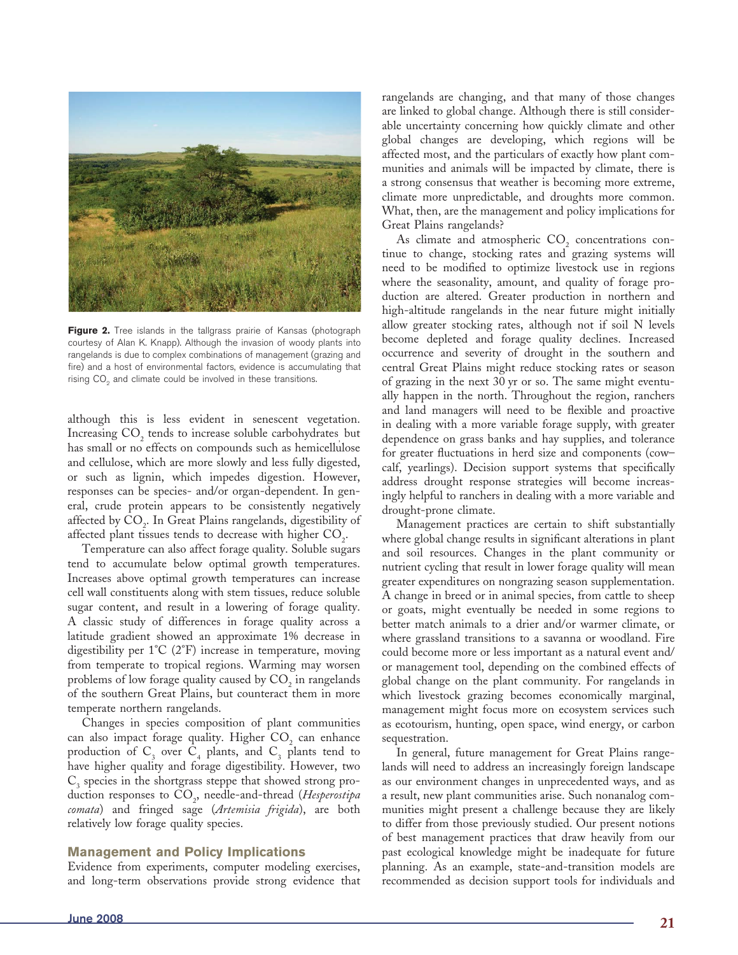

Figure 2. Tree islands in the tallgrass prairie of Kansas (photograph courtesy of Alan K. Knapp). Although the invasion of woody plants into rangelands is due to complex combinations of management (grazing and fire) and a host of environmental factors, evidence is accumulating that rising CO<sub>2</sub> and climate could be involved in these transitions.

although this is less evident in senescent vegetation. Increasing  $CO<sub>2</sub>$  tends to increase soluble carbohydrates, but has small or no effects on compounds such as hemicellulose and cellulose, which are more slowly and less fully digested, or such as lignin, which impedes digestion. However, responses can be species- and/or organ-dependent. In general, crude protein appears to be consistently negatively affected by  $CO<sub>2</sub>$ . In Great Plains rangelands, digestibility of affected plant tissues tends to decrease with higher  $\mathrm{CO}_2$ .

Temperature can also affect forage quality. Soluble sugars tend to accumulate below optimal growth temperatures. Increases above optimal growth temperatures can increase cell wall constituents along with stem tissues, reduce soluble sugar content, and result in a lowering of forage quality. A classic study of differences in forage quality across a latitude gradient showed an approximate 1% decrease in digestibility per 1°C (2°F) increase in temperature, moving from temperate to tropical regions. Warming may worsen problems of low forage quality caused by  $\mathrm{CO}_2$  in rangelands of the southern Great Plains, but counteract them in more temperate northern rangelands.

Changes in species composition of plant communities can also impact forage quality. Higher  $CO<sub>2</sub>$  can enhance production of  $C_3$  over  $C_4$  plants, and  $C_3$  plants tend to have higher quality and forage digestibility. However, two  $C_3$  species in the shortgrass steppe that showed strong production responses to CO<sub>2</sub>, needle-and-thread (*Hesperostipa comata*) and fringed sage (*Artemisia frigida*), are both relatively low forage quality species.

#### **Management and Policy Implications**

Evidence from experiments, computer modeling exercises, and long-term observations provide strong evidence that

rangelands are changing, and that many of those changes are linked to global change. Although there is still considerable uncertainty concerning how quickly climate and other global changes are developing, which regions will be affected most, and the particulars of exactly how plant communities and animals will be impacted by climate, there is a strong consensus that weather is becoming more extreme, climate more unpredictable, and droughts more common. What, then, are the management and policy implications for Great Plains rangelands? As climate and atmospheric  $CO<sub>2</sub>$  concentrations con-

tinue to change, stocking rates and grazing systems will need to be modified to optimize livestock use in regions where the seasonality, amount, and quality of forage production are altered. Greater production in northern and high-altitude rangelands in the near future might initially allow greater stocking rates, although not if soil N levels become depleted and forage quality declines. Increased occurrence and severity of drought in the southern and central Great Plains might reduce stocking rates or season of grazing in the next 30 yr or so. The same might eventually happen in the north. Throughout the region, ranchers and land managers will need to be flexible and proactive in dealing with a more variable forage supply, with greater dependence on grass banks and hay supplies, and tolerance for greater fluctuations in herd size and components (cowcalf, yearlings). Decision support systems that specifically address drought response strategies will become increasingly helpful to ranchers in dealing with a more variable and drought-prone climate.

Management practices are certain to shift substantially where global change results in significant alterations in plant and soil resources. Changes in the plant community or nutrient cycling that result in lower forage quality will mean greater expenditures on nongrazing season supplementation. A change in breed or in animal species, from cattle to sheep or goats, might eventually be needed in some regions to better match animals to a drier and/or warmer climate, or where grassland transitions to a savanna or woodland. Fire could become more or less important as a natural event and/ or management tool, depending on the combined effects of global change on the plant community. For rangelands in which livestock grazing becomes economically marginal, management might focus more on ecosystem services such as ecotourism, hunting, open space, wind energy, or carbon sequestration.

In general, future management for Great Plains rangelands will need to address an increasingly foreign landscape as our environment changes in unprecedented ways, and as a result, new plant communities arise. Such nonanalog communities might present a challenge because they are likely to differ from those previously studied. Our present notions of best management practices that draw heavily from our past ecological knowledge might be inadequate for future planning. As an example, state-and-transition models are recommended as decision support tools for individuals and